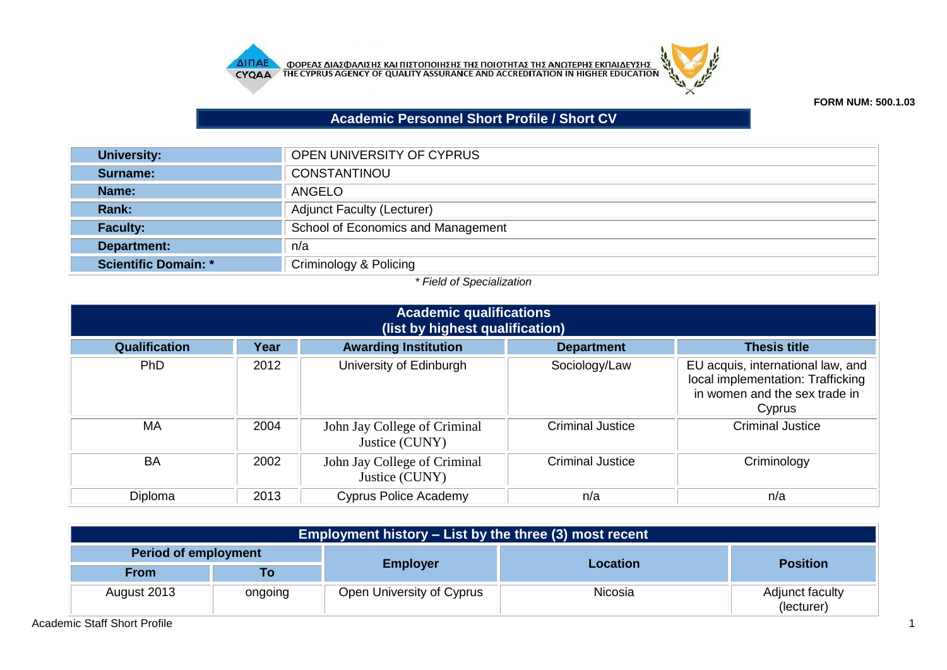



## **FORM NUM: 500.1.03**

## **Academic Personnel Short Profile / Short CV**

| <b>University:</b>   | OPEN UNIVERSITY OF CYPRUS          |
|----------------------|------------------------------------|
| Surname:             | CONSTANTINOU                       |
| Name:                | ANGELO                             |
| <b>Rank:</b>         | <b>Adjunct Faculty (Lecturer)</b>  |
| <b>Faculty:</b>      | School of Economics and Management |
| Department:          | n/a                                |
| Scientific Domain: * | Criminology & Policing             |

## *\* Field of Specialization*

| <b>Academic qualifications</b><br>(list by highest qualification) |      |                                                |                         |                                                                                                                   |  |
|-------------------------------------------------------------------|------|------------------------------------------------|-------------------------|-------------------------------------------------------------------------------------------------------------------|--|
| <b>Qualification</b>                                              | Year | <b>Awarding Institution</b>                    | <b>Department</b>       | <b>Thesis title</b>                                                                                               |  |
| <b>PhD</b>                                                        | 2012 | University of Edinburgh                        | Sociology/Law           | EU acquis, international law, and<br>local implementation: Trafficking<br>in women and the sex trade in<br>Cyprus |  |
| <b>MA</b>                                                         | 2004 | John Jay College of Criminal<br>Justice (CUNY) | <b>Criminal Justice</b> | <b>Criminal Justice</b>                                                                                           |  |
| <b>BA</b>                                                         | 2002 | John Jay College of Criminal<br>Justice (CUNY) | <b>Criminal Justice</b> | Criminology                                                                                                       |  |
| Diploma                                                           | 2013 | <b>Cyprus Police Academy</b>                   | n/a                     | n/a                                                                                                               |  |

| Employment history – List by the three (3) most recent |         |                           |          |                               |  |
|--------------------------------------------------------|---------|---------------------------|----------|-------------------------------|--|
| <b>Period of employment</b>                            |         |                           |          |                               |  |
| <b>From</b>                                            | To      | <b>Employer</b>           | Location | <b>Position</b>               |  |
| August 2013                                            | ongoing | Open University of Cyprus | Nicosia  | Adjunct faculty<br>(lecturer) |  |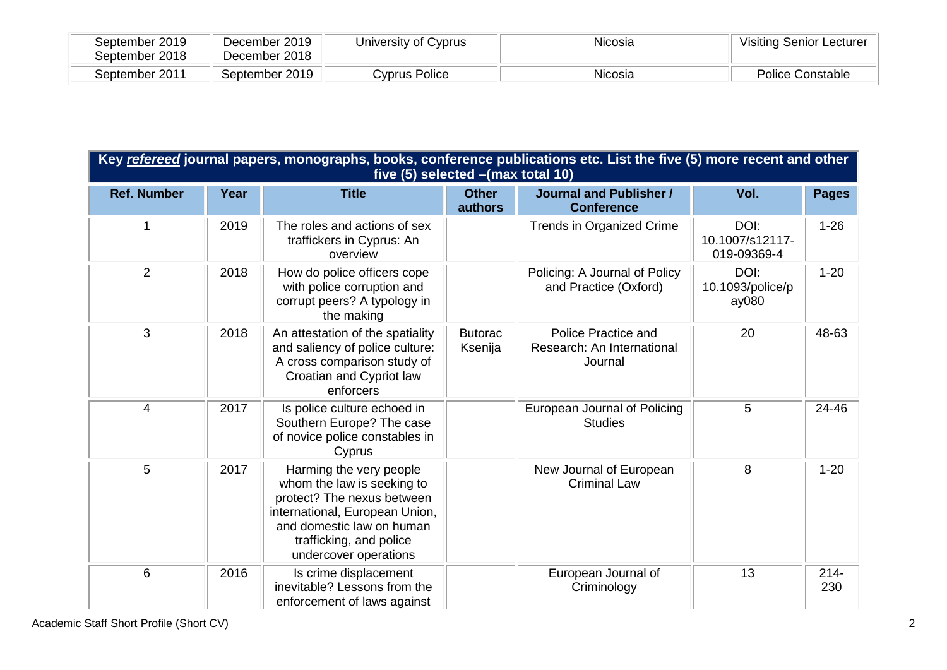| September 2019<br>September 2018 | December 2019<br>December 2018 | University of Cyprus | Nicosia | <b>Visiting Senior Lecturer</b> |
|----------------------------------|--------------------------------|----------------------|---------|---------------------------------|
| September 2011                   | September 2019                 | Cyprus Police        | Nicosia | Police Constable                |

|                    | Key refereed journal papers, monographs, books, conference publications etc. List the five (5) more recent and other<br>five (5) selected - (max total 10) |                                                                                                                                                                                                        |                           |                                                                     |                                        |                |  |
|--------------------|------------------------------------------------------------------------------------------------------------------------------------------------------------|--------------------------------------------------------------------------------------------------------------------------------------------------------------------------------------------------------|---------------------------|---------------------------------------------------------------------|----------------------------------------|----------------|--|
| <b>Ref. Number</b> | Year                                                                                                                                                       | <b>Title</b>                                                                                                                                                                                           | <b>Other</b><br>authors   | <b>Journal and Publisher /</b><br><b>Conference</b>                 | Vol.                                   | <b>Pages</b>   |  |
| 1                  | 2019                                                                                                                                                       | The roles and actions of sex<br>traffickers in Cyprus: An<br>overview                                                                                                                                  |                           | Trends in Organized Crime                                           | DOI:<br>10.1007/s12117-<br>019-09369-4 | $1 - 26$       |  |
| 2                  | 2018                                                                                                                                                       | How do police officers cope<br>with police corruption and<br>corrupt peers? A typology in<br>the making                                                                                                |                           | Policing: A Journal of Policy<br>and Practice (Oxford)              | DOI:<br>10.1093/police/p<br>ay080      | $1 - 20$       |  |
| 3                  | 2018                                                                                                                                                       | An attestation of the spatiality<br>and saliency of police culture:<br>A cross comparison study of<br>Croatian and Cypriot law<br>enforcers                                                            | <b>Butorac</b><br>Ksenija | <b>Police Practice and</b><br>Research: An International<br>Journal | 20                                     | 48-63          |  |
| $\overline{4}$     | 2017                                                                                                                                                       | Is police culture echoed in<br>Southern Europe? The case<br>of novice police constables in<br>Cyprus                                                                                                   |                           | European Journal of Policing<br><b>Studies</b>                      | 5                                      | 24-46          |  |
| 5                  | 2017                                                                                                                                                       | Harming the very people<br>whom the law is seeking to<br>protect? The nexus between<br>international, European Union,<br>and domestic law on human<br>trafficking, and police<br>undercover operations |                           | New Journal of European<br><b>Criminal Law</b>                      | 8                                      | $1 - 20$       |  |
| 6                  | 2016                                                                                                                                                       | Is crime displacement<br>inevitable? Lessons from the<br>enforcement of laws against                                                                                                                   |                           | European Journal of<br>Criminology                                  | 13                                     | $214 -$<br>230 |  |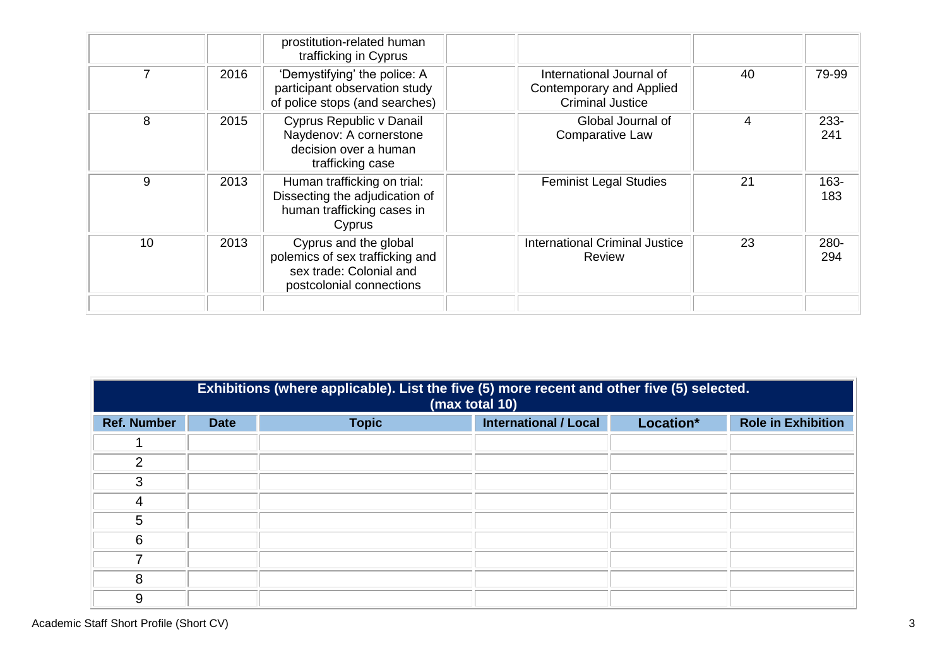|    |      | prostitution-related human<br>trafficking in Cyprus                                                             |                                                                                        |    |                |
|----|------|-----------------------------------------------------------------------------------------------------------------|----------------------------------------------------------------------------------------|----|----------------|
|    | 2016 | 'Demystifying' the police: A<br>participant observation study<br>of police stops (and searches)                 | International Journal of<br><b>Contemporary and Applied</b><br><b>Criminal Justice</b> | 40 | 79-99          |
| 8  | 2015 | Cyprus Republic v Danail<br>Naydenov: A cornerstone<br>decision over a human<br>trafficking case                | Global Journal of<br><b>Comparative Law</b>                                            | 4  | $233 -$<br>241 |
| 9  | 2013 | Human trafficking on trial:<br>Dissecting the adjudication of<br>human trafficking cases in<br>Cyprus           | <b>Feminist Legal Studies</b>                                                          | 21 | 163-<br>183    |
| 10 | 2013 | Cyprus and the global<br>polemics of sex trafficking and<br>sex trade: Colonial and<br>postcolonial connections | <b>International Criminal Justice</b><br>Review                                        | 23 | 280-<br>294    |
|    |      |                                                                                                                 |                                                                                        |    |                |

|                    | Exhibitions (where applicable). List the five (5) more recent and other five (5) selected.<br>(max total 10) |              |                              |           |                           |  |
|--------------------|--------------------------------------------------------------------------------------------------------------|--------------|------------------------------|-----------|---------------------------|--|
| <b>Ref. Number</b> | <b>Date</b>                                                                                                  | <b>Topic</b> | <b>International / Local</b> | Location* | <b>Role in Exhibition</b> |  |
|                    |                                                                                                              |              |                              |           |                           |  |
| $\mathcal{P}$      |                                                                                                              |              |                              |           |                           |  |
| 3                  |                                                                                                              |              |                              |           |                           |  |
| 4                  |                                                                                                              |              |                              |           |                           |  |
| 5                  |                                                                                                              |              |                              |           |                           |  |
| 6                  |                                                                                                              |              |                              |           |                           |  |
|                    |                                                                                                              |              |                              |           |                           |  |
| 8                  |                                                                                                              |              |                              |           |                           |  |
| 9                  |                                                                                                              |              |                              |           |                           |  |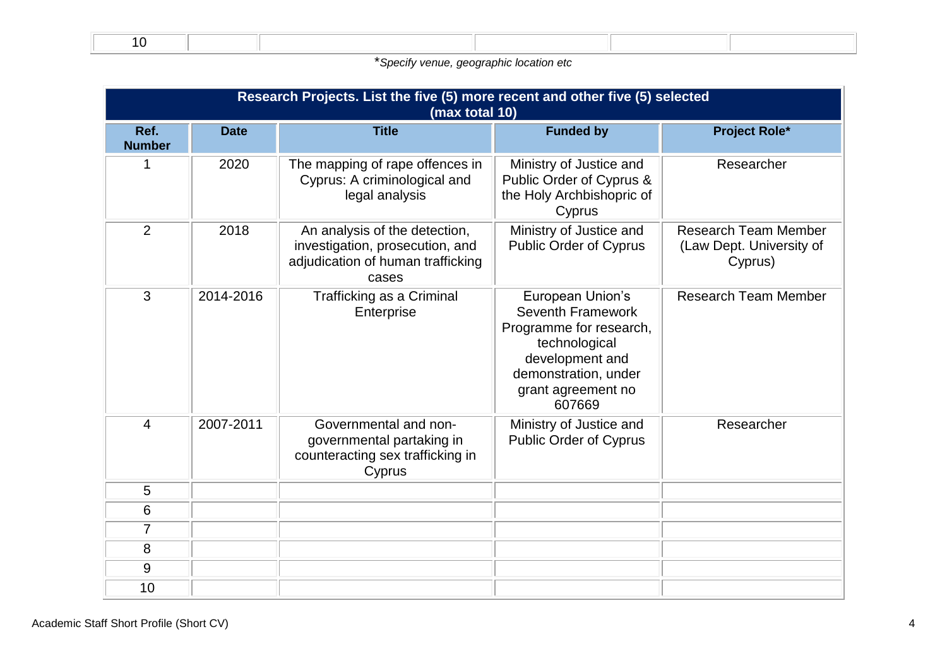\**Specify venue, geographic location etc*

|                       | Research Projects. List the five (5) more recent and other five (5) selected<br>(max total 10) |                                                                                                                |                                                                                                                                                                     |                                                                    |  |  |
|-----------------------|------------------------------------------------------------------------------------------------|----------------------------------------------------------------------------------------------------------------|---------------------------------------------------------------------------------------------------------------------------------------------------------------------|--------------------------------------------------------------------|--|--|
| Ref.<br><b>Number</b> | <b>Date</b>                                                                                    | <b>Title</b>                                                                                                   | <b>Funded by</b>                                                                                                                                                    | <b>Project Role*</b>                                               |  |  |
| 1                     | 2020                                                                                           | The mapping of rape offences in<br>Cyprus: A criminological and<br>legal analysis                              | Ministry of Justice and<br>Public Order of Cyprus &<br>the Holy Archbishopric of<br>Cyprus                                                                          | Researcher                                                         |  |  |
| $\overline{2}$        | 2018                                                                                           | An analysis of the detection,<br>investigation, prosecution, and<br>adjudication of human trafficking<br>cases | Ministry of Justice and<br><b>Public Order of Cyprus</b>                                                                                                            | <b>Research Team Member</b><br>(Law Dept. University of<br>Cyprus) |  |  |
| 3                     | 2014-2016                                                                                      | <b>Trafficking as a Criminal</b><br>Enterprise                                                                 | European Union's<br><b>Seventh Framework</b><br>Programme for research,<br>technological<br>development and<br>demonstration, under<br>grant agreement no<br>607669 | <b>Research Team Member</b>                                        |  |  |
| $\overline{4}$        | 2007-2011                                                                                      | Governmental and non-<br>governmental partaking in<br>counteracting sex trafficking in<br>Cyprus               | Ministry of Justice and<br><b>Public Order of Cyprus</b>                                                                                                            | Researcher                                                         |  |  |
| 5                     |                                                                                                |                                                                                                                |                                                                                                                                                                     |                                                                    |  |  |
| 6                     |                                                                                                |                                                                                                                |                                                                                                                                                                     |                                                                    |  |  |
| $\overline{7}$        |                                                                                                |                                                                                                                |                                                                                                                                                                     |                                                                    |  |  |
| 8                     |                                                                                                |                                                                                                                |                                                                                                                                                                     |                                                                    |  |  |
| 9                     |                                                                                                |                                                                                                                |                                                                                                                                                                     |                                                                    |  |  |
| 10                    |                                                                                                |                                                                                                                |                                                                                                                                                                     |                                                                    |  |  |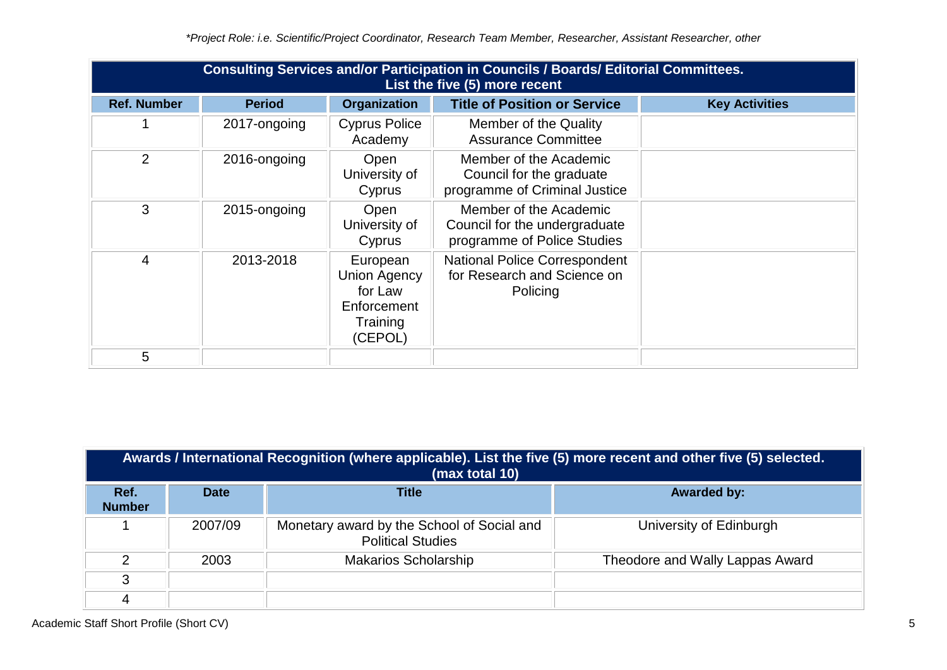|                    | <b>Consulting Services and/or Participation in Councils / Boards/ Editorial Committees.</b><br>List the five (5) more recent |                                                                                  |                                                                                        |                       |  |  |
|--------------------|------------------------------------------------------------------------------------------------------------------------------|----------------------------------------------------------------------------------|----------------------------------------------------------------------------------------|-----------------------|--|--|
| <b>Ref. Number</b> | <b>Period</b>                                                                                                                | <b>Organization</b>                                                              | <b>Title of Position or Service</b>                                                    | <b>Key Activities</b> |  |  |
|                    | 2017-ongoing                                                                                                                 | <b>Cyprus Police</b><br>Academy                                                  | Member of the Quality<br><b>Assurance Committee</b>                                    |                       |  |  |
| 2                  | 2016-ongoing                                                                                                                 | Open<br>University of<br>Cyprus                                                  | Member of the Academic<br>Council for the graduate<br>programme of Criminal Justice    |                       |  |  |
| 3                  | 2015-ongoing                                                                                                                 | Open<br>University of<br>Cyprus                                                  | Member of the Academic<br>Council for the undergraduate<br>programme of Police Studies |                       |  |  |
| $\overline{4}$     | 2013-2018                                                                                                                    | European<br><b>Union Agency</b><br>for Law<br>Enforcement<br>Training<br>(CEPOL) | <b>National Police Correspondent</b><br>for Research and Science on<br>Policing        |                       |  |  |
| 5                  |                                                                                                                              |                                                                                  |                                                                                        |                       |  |  |

|                       | Awards / International Recognition (where applicable). List the five (5) more recent and other five (5) selected.<br>(max total 10) |                                                                        |                                 |  |  |  |
|-----------------------|-------------------------------------------------------------------------------------------------------------------------------------|------------------------------------------------------------------------|---------------------------------|--|--|--|
| Ref.<br><b>Number</b> | <b>Date</b>                                                                                                                         | <b>Title</b>                                                           | <b>Awarded by:</b>              |  |  |  |
|                       | 2007/09                                                                                                                             | Monetary award by the School of Social and<br><b>Political Studies</b> | University of Edinburgh         |  |  |  |
| າ                     | 2003                                                                                                                                | <b>Makarios Scholarship</b>                                            | Theodore and Wally Lappas Award |  |  |  |
| 3                     |                                                                                                                                     |                                                                        |                                 |  |  |  |
|                       |                                                                                                                                     |                                                                        |                                 |  |  |  |